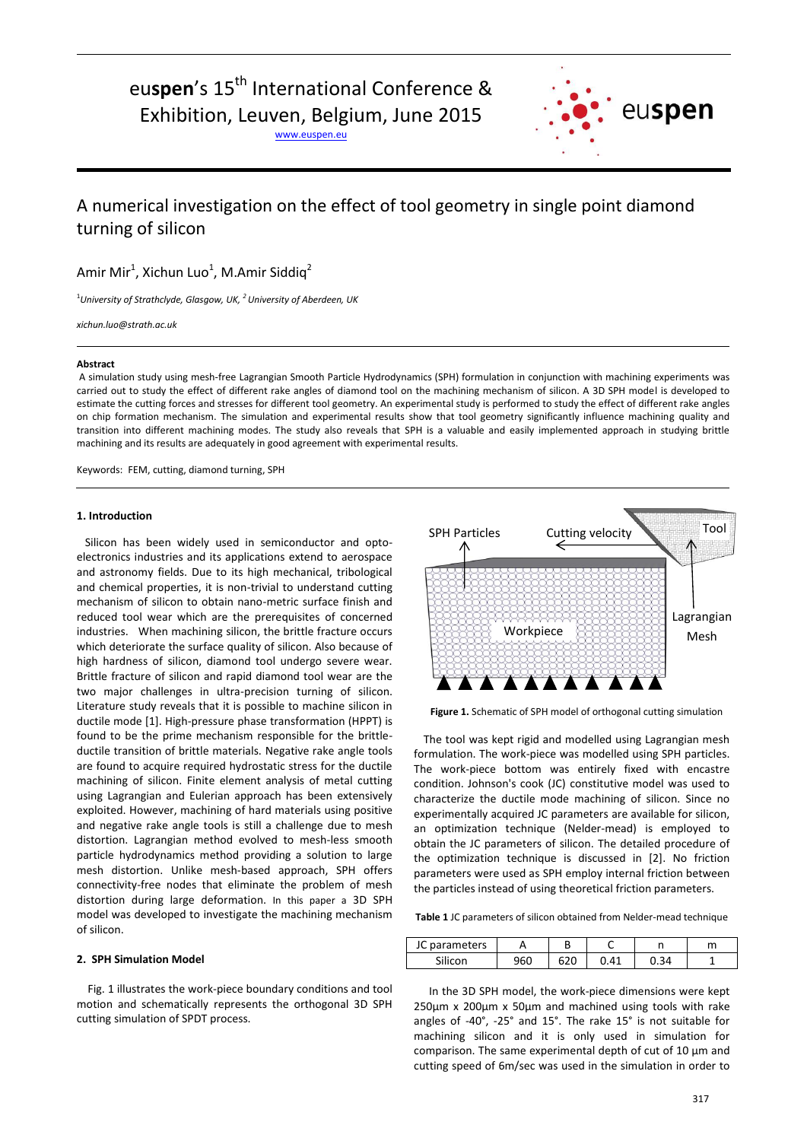# euspen's 15<sup>th</sup> International Conference & Exhibition, Leuven, Belgium, June 2015

[www.euspen.eu](http://www.euspen.eu/)



# A numerical investigation on the effect of tool geometry in single point diamond turning of silicon

Amir Mir $^1$ , Xichun Luo $^1$ , M.Amir Siddiq $^2$ 

<sup>1</sup>*University of Strathclyde, Glasgow, UK, <sup>2</sup>University of Aberdeen, UK*

*xichun.luo@strath.ac.uk*

#### **Abstract**

A simulation study using mesh-free Lagrangian Smooth Particle Hydrodynamics (SPH) formulation in conjunction with machining experiments was carried out to study the effect of different rake angles of diamond tool on the machining mechanism of silicon. A 3D SPH model is developed to estimate the cutting forces and stresses for different tool geometry. An experimental study is performed to study the effect of different rake angles on chip formation mechanism. The simulation and experimental results show that tool geometry significantly influence machining quality and transition into different machining modes. The study also reveals that SPH is a valuable and easily implemented approach in studying brittle machining and its results are adequately in good agreement with experimental results.

Keywords: FEM, cutting, diamond turning, SPH

#### **1. Introduction**

 Silicon has been widely used in semiconductor and optoelectronics industries and its applications extend to aerospace and astronomy fields. Due to its high mechanical, tribological and chemical properties, it is non-trivial to understand cutting mechanism of silicon to obtain nano-metric surface finish and reduced tool wear which are the prerequisites of concerned industries. When machining silicon, the brittle fracture occurs which deteriorate the surface quality of silicon. Also because of high hardness of silicon, diamond tool undergo severe wear. Brittle fracture of silicon and rapid diamond tool wear are the two major challenges in ultra-precision turning of silicon. Literature study reveals that it is possible to machine silicon in ductile mode [1]. High-pressure phase transformation (HPPT) is found to be the prime mechanism responsible for the brittleductile transition of brittle materials. Negative rake angle tools are found to acquire required hydrostatic stress for the ductile machining of silicon. Finite element analysis of metal cutting using Lagrangian and Eulerian approach has been extensively exploited. However, machining of hard materials using positive and negative rake angle tools is still a challenge due to mesh distortion. Lagrangian method evolved to mesh-less smooth particle hydrodynamics method providing a solution to large mesh distortion. Unlike mesh-based approach, SPH offers connectivity-free nodes that eliminate the problem of mesh distortion during large deformation. In this paper a 3D SPH model was developed to investigate the machining mechanism of silicon.

# **2. SPH Simulation Model**

 Fig. 1 illustrates the work-piece boundary conditions and tool motion and schematically represents the orthogonal 3D SPH cutting simulation of SPDT process.



**Figure 1.** Schematic of SPH model of orthogonal cutting simulation

The tool was kept rigid and modelled using Lagrangian mesh formulation. The work-piece was modelled using SPH particles. The work-piece bottom was entirely fixed with encastre condition. Johnson's cook (JC) constitutive model was used to characterize the ductile mode machining of silicon. Since no experimentally acquired JC parameters are available for silicon, an optimization technique (Nelder-mead) is employed to obtain the JC parameters of silicon. The detailed procedure of the optimization technique is discussed in [2]. No friction parameters were used as SPH employ internal friction between the particles instead of using theoretical friction parameters.

**Table 1** JC parameters of silicon obtained from Nelder-mead technique

| parameters |     |            |  |  |
|------------|-----|------------|--|--|
| Silicon    | ے م | ---<br>ບ∠ບ |  |  |

In the 3D SPH model, the work-piece dimensions were kept 250µm x 200µm x 50µm and machined using tools with rake angles of -40°, -25° and 15°. The rake 15° is not suitable for machining silicon and it is only used in simulation for comparison. The same experimental depth of cut of 10 µm and cutting speed of 6m/sec was used in the simulation in order to